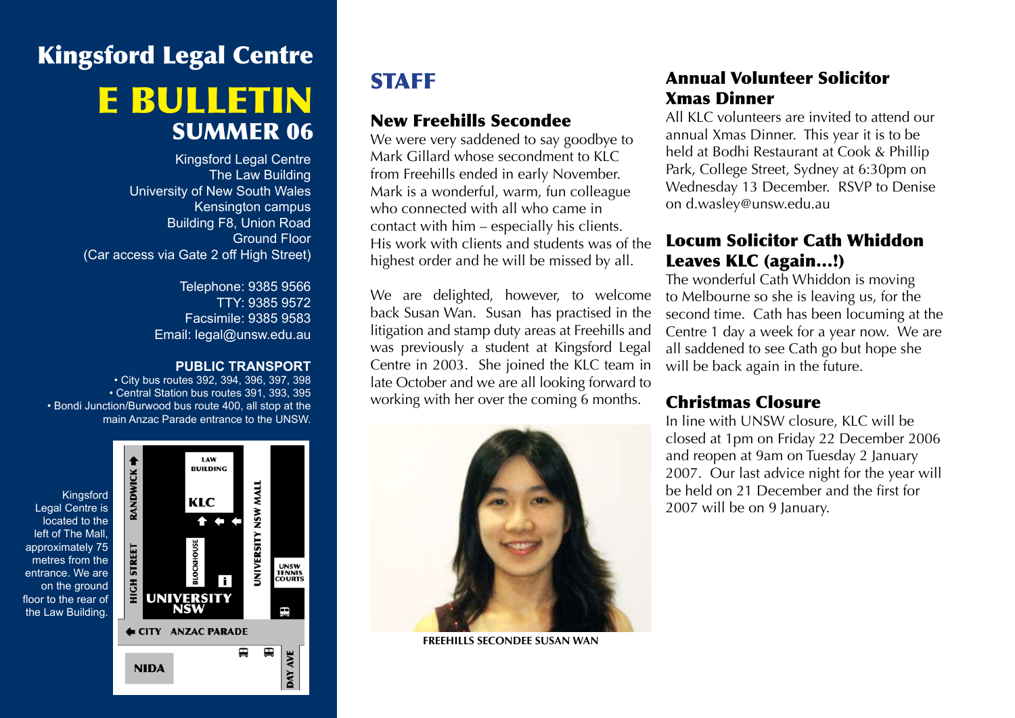# Kingsford Legal Centre e bulletin Summer 06

Kingsford Legal Centre The Law Building University of New South Wales Kensington campus Building F8, Union Road Ground Floor (Car access via Gate 2 off High Street)

> Telephone: 9385 9566 TTY: 9385 9572 Facsimile: 9385 9583 Email: legal@unsw.edu.au

#### **PUBLIC TRANSPORT**

• City bus routes 392, 394, 396, 397, 398 • Central Station bus routes 391, 393, 395 • Bondi Junction/Burwood bus route 400, all stop at the main Anzac Parade entrance to the UNSW.



### **STAFF**

#### New Freehills Secondee

We were very saddened to say goodbye to Mark Gillard whose secondment to KLC. from Freehills ended in early November. Mark is a wonderful, warm, fun colleague who connected with all who came in contact with him – especially his clients. His work with clients and students was of the highest order and he will be missed by all.

We are delighted, however, to welcome back Susan Wan. Susan has practised in the litigation and stamp duty areas at Freehills and was previously a student at Kingsford Legal Centre in 2003. She joined the KLC team in late October and we are all looking forward to working with her over the coming 6 months.



**Freehills Secondee Susan Wan**

#### Annual Volunteer Solicitor Xmas Dinner

All KLC volunteers are invited to attend our annual Xmas Dinner. This year it is to be held at Bodhi Restaurant at Cook & Phillip Park, College Street, Sydney at 6:30pm on Wednesday 13 December. RSVP to Denise on d.wasley@unsw.edu.au

#### Locum Solicitor Cath Whiddon Leaves KLC (again…!)

The wonderful Cath Whiddon is moving to Melbourne so she is leaving us, for the second time. Cath has been locuming at the Centre 1 day a week for a year now. We are all saddened to see Cath go but hope she will be back again in the future.

#### Christmas Closure

In line with UNSW closure, KLC will be closed at 1pm on Friday 22 December 2006 and reopen at 9am on Tuesday 2 January 2007. Our last advice night for the year will be held on 21 December and the first for 2007 will be on 9 January.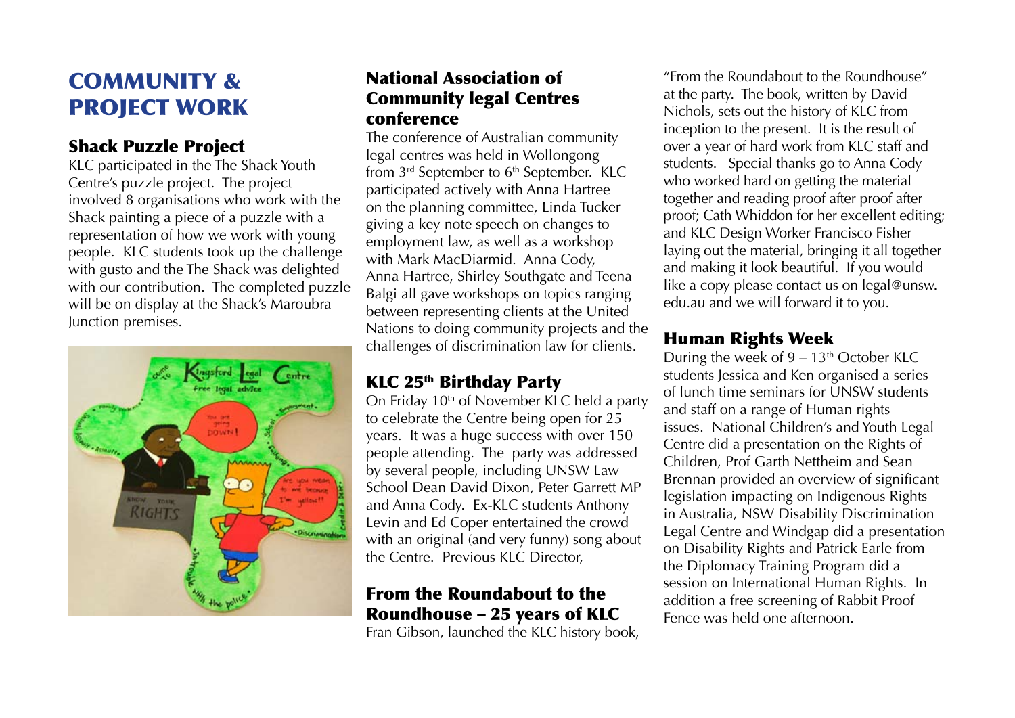### COMMUNITY & PROJECT WORK

#### Shack Puzzle Project

KLC participated in the The Shack Youth Centre's puzzle project. The project involved 8 organisations who work with the Shack painting a piece of a puzzle with a representation of how we work with young people. KLC students took up the challenge with gusto and the The Shack was delighted with our contribution. The completed puzzle will be on display at the Shack's Maroubra Junction premises.



#### National Association of Community legal Centres conference

The conference of Australian community legal centres was held in Wollongong from  $3^{rd}$  September to  $6^{th}$  September. KLC participated actively with Anna Hartree on the planning committee, Linda Tucker giving a key note speech on changes to employment law, as well as a workshop with Mark MacDiarmid. Anna Cody, Anna Hartree, Shirley Southgate and Teena Balgi all gave workshops on topics ranging between representing clients at the United Nations to doing community projects and the challenges of discrimination law for clients.

#### KLC 25<sup>th</sup> Birthday Party

On Friday  $10<sup>th</sup>$  of November KLC held a party to celebrate the Centre being open for 25 years. It was a huge success with over 150 people attending. The party was addressed by several people, including UNSW Law School Dean David Dixon, Peter Garrett MP and Anna Cody. Ex-KLC students Anthony Levin and Ed Coper entertained the crowd with an original (and very funny) song about the Centre. Previous KLC Director,

### From the Roundabout to the Roundhouse – 25 years of KLC

Fran Gibson, launched the KLC history book,

"From the Roundabout to the Roundhouse" at the party. The book, written by David Nichols, sets out the history of KLC from inception to the present. It is the result of over a year of hard work from KLC staff and students. Special thanks go to Anna Cody who worked hard on getting the material together and reading proof after proof after proof; Cath Whiddon for her excellent editing; and KLC Design Worker Francisco Fisher laying out the material, bringing it all together and making it look beautiful. If you would like a copy please contact us on legal@unsw. edu.au and we will forward it to you.

#### Human Rights Week

During the week of  $9 - 13<sup>th</sup>$  October KLC students Jessica and Ken organised a series of lunch time seminars for UNSW students and staff on a range of Human rights issues. National Children's and Youth Legal Centre did a presentation on the Rights of Children, Prof Garth Nettheim and Sean Brennan provided an overview of significant legislation impacting on Indigenous Rights in Australia, NSW Disability Discrimination Legal Centre and Windgap did a presentation on Disability Rights and Patrick Earle from the Diplomacy Training Program did a session on International Human Rights. In addition a free screening of Rabbit Proof Fence was held one afternoon.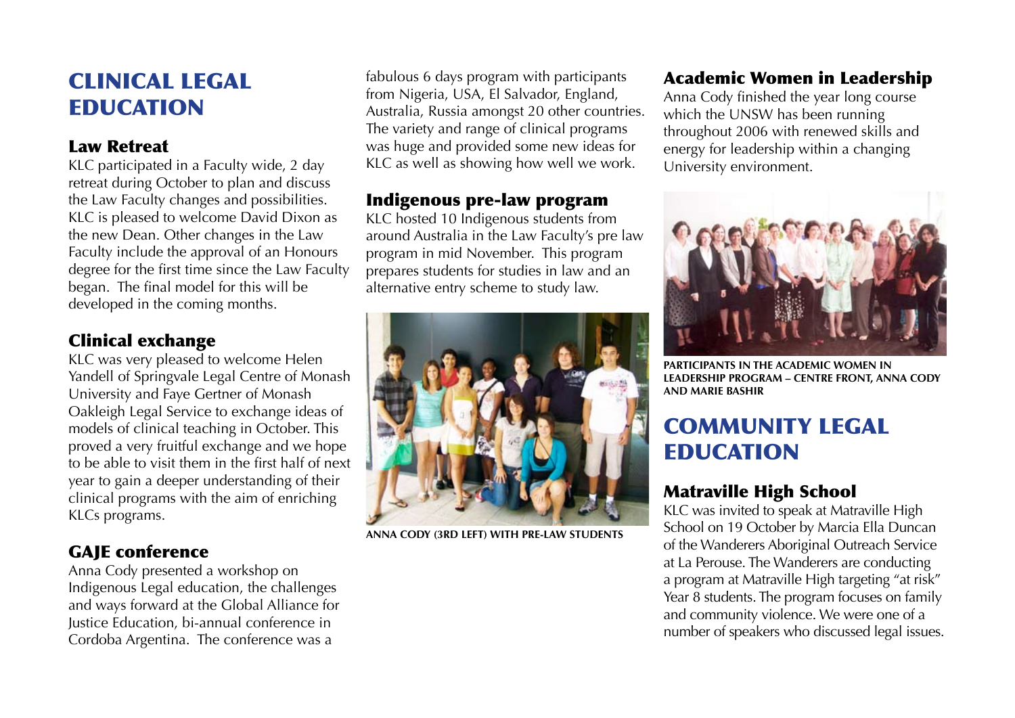### CLINICAL LEGAL EDUCATION

#### Law Retreat

KLC participated in a Faculty wide, 2 day retreat during October to plan and discuss the Law Faculty changes and possibilities. KLC is pleased to welcome David Dixon as the new Dean. Other changes in the Law Faculty include the approval of an Honours degree for the first time since the Law Faculty began. The final model for this will be developed in the coming months.

#### Clinical exchange

KLC was very pleased to welcome Helen Yandell of Springvale Legal Centre of Monash University and Faye Gertner of Monash Oakleigh Legal Service to exchange ideas of models of clinical teaching in October. This proved a very fruitful exchange and we hope to be able to visit them in the first half of next year to gain a deeper understanding of their clinical programs with the aim of enriching KLCs programs.

### GAJE conference

Anna Cody presented a workshop on Indigenous Legal education, the challenges and ways forward at the Global Alliance for Justice Education, bi-annual conference in Cordoba Argentina. The conference was a

fabulous 6 days program with participants from Nigeria, USA, El Salvador, England, Australia, Russia amongst 20 other countries. The variety and range of clinical programs was huge and provided some new ideas for KLC as well as showing how well we work.

#### Indigenous pre-law program

KLC hosted 10 Indigenous students from around Australia in the Law Faculty's pre law program in mid November. This program prepares students for studies in law and an alternative entry scheme to study law.



**Anna Cody (3rd left) with pre-law students**

#### Academic Women in Leadership

Anna Cody finished the year long course which the UNSW has been running throughout 2006 with renewed skills and energy for leadership within a changing University environment.



**Participants in the Academic Women in Leadership Program – Centre Front, Anna Cody and Marie Bashir**

## COMMUNITY LEGAL **EDUCATION**

### Matraville High School

KLC was invited to speak at Matraville High School on 19 October by Marcia Ella Duncan of the Wanderers Aboriginal Outreach Service at La Perouse. The Wanderers are conducting a program at Matraville High targeting "at risk" Year 8 students. The program focuses on family and community violence. We were one of a number of speakers who discussed legal issues.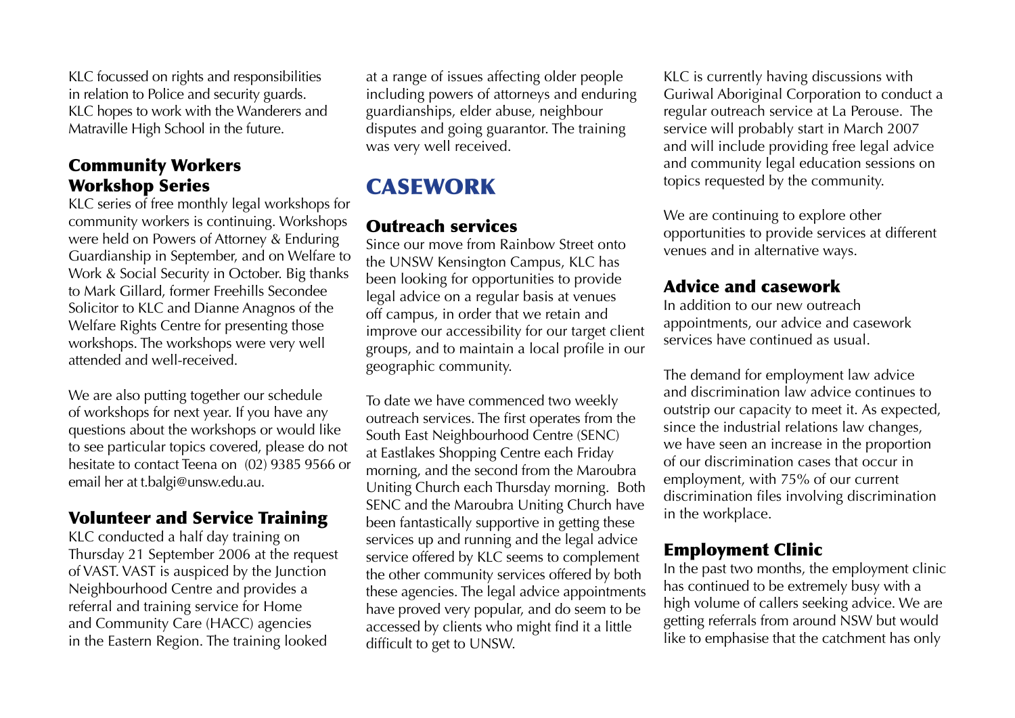KLC focussed on rights and responsibilities in relation to Police and security guards. KLC hopes to work with the Wanderers and Matraville High School in the future.

#### Community Workers Workshop Series

KLC series of free monthly legal workshops for community workers is continuing. Workshops were held on Powers of Attorney & Enduring Guardianship in September, and on Welfare to Work & Social Security in October. Big thanks to Mark Gillard, former Freehills Secondee Solicitor to KLC and Dianne Anagnos of the Welfare Rights Centre for presenting those workshops. The workshops were very well attended and well-received.

We are also putting together our schedule of workshops for next year. If you have any questions about the workshops or would like to see particular topics covered, please do not hesitate to contact Teena on (02) 9385 9566 or email her at t.balgi@unsw.edu.au.

#### Volunteer and Service Training

KLC conducted a half day training on Thursday 21 September 2006 at the request of VAST. VAST is auspiced by the Junction Neighbourhood Centre and provides a referral and training service for Home and Community Care (HACC) agencies in the Eastern Region. The training looked

at a range of issues affecting older people including powers of attorneys and enduring guardianships, elder abuse, neighbour disputes and going guarantor. The training was very well received.

## CASEWORK

#### Outreach services

Since our move from Rainbow Street onto the UNSW Kensington Campus, KLC has been looking for opportunities to provide legal advice on a regular basis at venues off campus, in order that we retain and improve our accessibility for our target client groups, and to maintain a local profile in our geographic community.

To date we have commenced two weekly outreach services. The first operates from the South East Neighbourhood Centre (SENC) at Eastlakes Shopping Centre each Friday morning, and the second from the Maroubra Uniting Church each Thursday morning. Both SENC and the Maroubra Uniting Church have been fantastically supportive in getting these services up and running and the legal advice service offered by KLC seems to complement the other community services offered by both these agencies. The legal advice appointments have proved very popular, and do seem to be accessed by clients who might find it a little difficult to get to UNSW.

KLC is currently having discussions with Guriwal Aboriginal Corporation to conduct a regular outreach service at La Perouse. The service will probably start in March 2007 and will include providing free legal advice and community legal education sessions on topics requested by the community.

We are continuing to explore other opportunities to provide services at different venues and in alternative ways.

#### Advice and casework

In addition to our new outreach appointments, our advice and casework services have continued as usual.

The demand for employment law advice and discrimination law advice continues to outstrip our capacity to meet it. As expected, since the industrial relations law changes, we have seen an increase in the proportion of our discrimination cases that occur in employment, with 75% of our current discrimination files involving discrimination in the workplace.

#### Employment Clinic

In the past two months, the employment clinic has continued to be extremely busy with a high volume of callers seeking advice. We are getting referrals from around NSW but would like to emphasise that the catchment has only